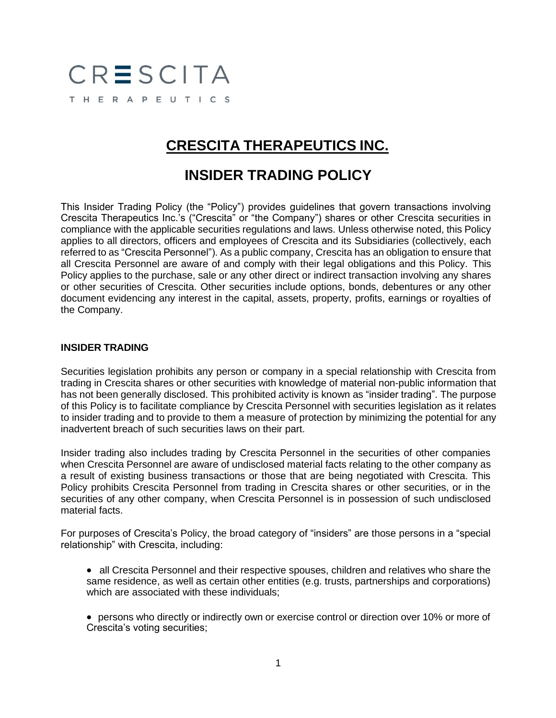# CRESCITA THERAPEUTICS

## **CRESCITA THERAPEUTICS INC.**

### **INSIDER TRADING POLICY**

This Insider Trading Policy (the "Policy") provides guidelines that govern transactions involving Crescita Therapeutics Inc.'s ("Crescita" or "the Company") shares or other Crescita securities in compliance with the applicable securities regulations and laws. Unless otherwise noted, this Policy applies to all directors, officers and employees of Crescita and its Subsidiaries (collectively, each referred to as "Crescita Personnel"). As a public company, Crescita has an obligation to ensure that all Crescita Personnel are aware of and comply with their legal obligations and this Policy. This Policy applies to the purchase, sale or any other direct or indirect transaction involving any shares or other securities of Crescita. Other securities include options, bonds, debentures or any other document evidencing any interest in the capital, assets, property, profits, earnings or royalties of the Company.

#### **INSIDER TRADING**

Securities legislation prohibits any person or company in a special relationship with Crescita from trading in Crescita shares or other securities with knowledge of material non-public information that has not been generally disclosed. This prohibited activity is known as "insider trading". The purpose of this Policy is to facilitate compliance by Crescita Personnel with securities legislation as it relates to insider trading and to provide to them a measure of protection by minimizing the potential for any inadvertent breach of such securities laws on their part.

Insider trading also includes trading by Crescita Personnel in the securities of other companies when Crescita Personnel are aware of undisclosed material facts relating to the other company as a result of existing business transactions or those that are being negotiated with Crescita. This Policy prohibits Crescita Personnel from trading in Crescita shares or other securities, or in the securities of any other company, when Crescita Personnel is in possession of such undisclosed material facts.

For purposes of Crescita's Policy, the broad category of "insiders" are those persons in a "special relationship" with Crescita, including:

- all Crescita Personnel and their respective spouses, children and relatives who share the same residence, as well as certain other entities (e.g. trusts, partnerships and corporations) which are associated with these individuals;
- persons who directly or indirectly own or exercise control or direction over 10% or more of Crescita's voting securities;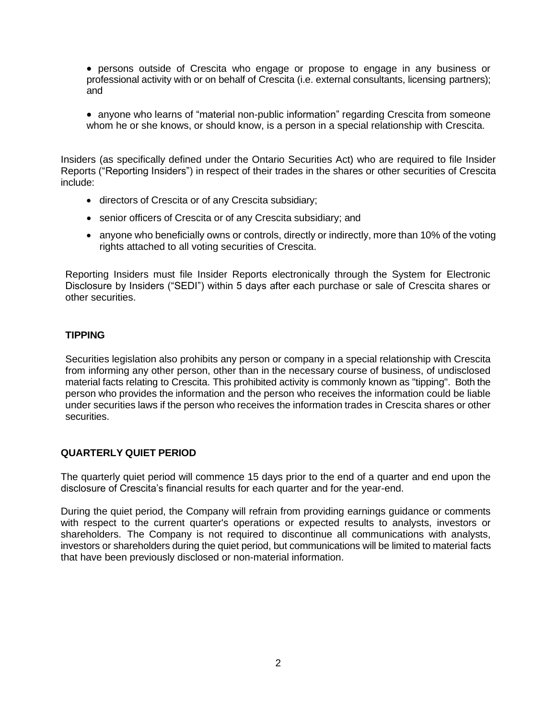- persons outside of Crescita who engage or propose to engage in any business or professional activity with or on behalf of Crescita (i.e. external consultants, licensing partners); and
- anyone who learns of "material non-public information" regarding Crescita from someone whom he or she knows, or should know, is a person in a special relationship with Crescita.

Insiders (as specifically defined under the Ontario Securities Act) who are required to file Insider Reports ("Reporting Insiders") in respect of their trades in the shares or other securities of Crescita include:

- directors of Crescita or of any Crescita subsidiary;
- senior officers of Crescita or of any Crescita subsidiary; and
- anyone who beneficially owns or controls, directly or indirectly, more than 10% of the voting rights attached to all voting securities of Crescita.

Reporting Insiders must file Insider Reports electronically through the System for Electronic Disclosure by Insiders ("SEDI") within 5 days after each purchase or sale of Crescita shares or other securities.

#### **TIPPING**

Securities legislation also prohibits any person or company in a special relationship with Crescita from informing any other person, other than in the necessary course of business, of undisclosed material facts relating to Crescita. This prohibited activity is commonly known as "tipping". Both the person who provides the information and the person who receives the information could be liable under securities laws if the person who receives the information trades in Crescita shares or other securities.

#### **QUARTERLY QUIET PERIOD**

The quarterly quiet period will commence 15 days prior to the end of a quarter and end upon the disclosure of Crescita's financial results for each quarter and for the year-end.

During the quiet period, the Company will refrain from providing earnings guidance or comments with respect to the current quarter's operations or expected results to analysts, investors or shareholders. The Company is not required to discontinue all communications with analysts, investors or shareholders during the quiet period, but communications will be limited to material facts that have been previously disclosed or non-material information.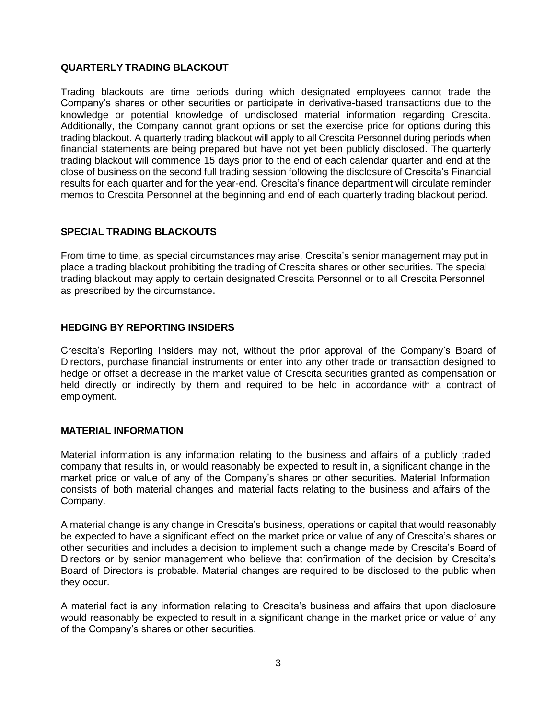#### **QUARTERLY TRADING BLACKOUT**

Trading blackouts are time periods during which designated employees cannot trade the Company's shares or other securities or participate in derivative-based transactions due to the knowledge or potential knowledge of undisclosed material information regarding Crescita. Additionally, the Company cannot grant options or set the exercise price for options during this trading blackout. A quarterly trading blackout will apply to all Crescita Personnel during periods when financial statements are being prepared but have not yet been publicly disclosed. The quarterly trading blackout will commence 15 days prior to the end of each calendar quarter and end at the close of business on the second full trading session following the disclosure of Crescita's Financial results for each quarter and for the year-end. Crescita's finance department will circulate reminder memos to Crescita Personnel at the beginning and end of each quarterly trading blackout period.

#### **SPECIAL TRADING BLACKOUTS**

From time to time, as special circumstances may arise, Crescita's senior management may put in place a trading blackout prohibiting the trading of Crescita shares or other securities. The special trading blackout may apply to certain designated Crescita Personnel or to all Crescita Personnel as prescribed by the circumstance.

#### **HEDGING BY REPORTING INSIDERS**

Crescita's Reporting Insiders may not, without the prior approval of the Company's Board of Directors, purchase financial instruments or enter into any other trade or transaction designed to hedge or offset a decrease in the market value of Crescita securities granted as compensation or held directly or indirectly by them and required to be held in accordance with a contract of employment.

#### **MATERIAL INFORMATION**

Material information is any information relating to the business and affairs of a publicly traded company that results in, or would reasonably be expected to result in, a significant change in the market price or value of any of the Company's shares or other securities. Material Information consists of both material changes and material facts relating to the business and affairs of the Company.

A material change is any change in Crescita's business, operations or capital that would reasonably be expected to have a significant effect on the market price or value of any of Crescita's shares or other securities and includes a decision to implement such a change made by Crescita's Board of Directors or by senior management who believe that confirmation of the decision by Crescita's Board of Directors is probable. Material changes are required to be disclosed to the public when they occur.

A material fact is any information relating to Crescita's business and affairs that upon disclosure would reasonably be expected to result in a significant change in the market price or value of any of the Company's shares or other securities.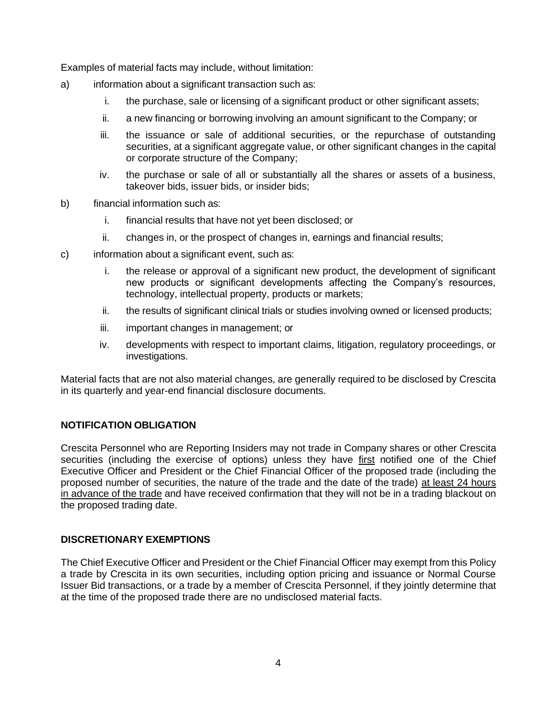Examples of material facts may include, without limitation:

- a) information about a significant transaction such as:
	- i. the purchase, sale or licensing of a significant product or other significant assets;
	- ii. a new financing or borrowing involving an amount significant to the Company; or
	- iii. the issuance or sale of additional securities, or the repurchase of outstanding securities, at a significant aggregate value, or other significant changes in the capital or corporate structure of the Company;
	- iv. the purchase or sale of all or substantially all the shares or assets of a business, takeover bids, issuer bids, or insider bids;
- b) financial information such as:
	- i. financial results that have not yet been disclosed; or
	- ii. changes in, or the prospect of changes in, earnings and financial results;
- c) information about a significant event, such as:
	- i. the release or approval of a significant new product, the development of significant new products or significant developments affecting the Company's resources, technology, intellectual property, products or markets;
	- ii. the results of significant clinical trials or studies involving owned or licensed products;
	- iii. important changes in management; or
	- iv. developments with respect to important claims, litigation, regulatory proceedings, or investigations.

Material facts that are not also material changes, are generally required to be disclosed by Crescita in its quarterly and year-end financial disclosure documents.

#### **NOTIFICATION OBLIGATION**

Crescita Personnel who are Reporting Insiders may not trade in Company shares or other Crescita securities (including the exercise of options) unless they have first notified one of the Chief Executive Officer and President or the Chief Financial Officer of the proposed trade (including the proposed number of securities, the nature of the trade and the date of the trade) at least 24 hours in advance of the trade and have received confirmation that they will not be in a trading blackout on the proposed trading date.

#### **DISCRETIONARY EXEMPTIONS**

The Chief Executive Officer and President or the Chief Financial Officer may exempt from this Policy a trade by Crescita in its own securities, including option pricing and issuance or Normal Course Issuer Bid transactions, or a trade by a member of Crescita Personnel, if they jointly determine that at the time of the proposed trade there are no undisclosed material facts.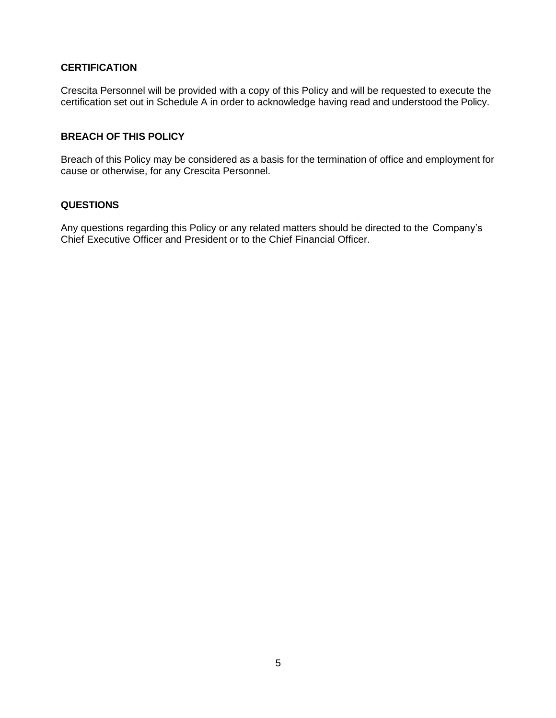#### **CERTIFICATION**

Crescita Personnel will be provided with a copy of this Policy and will be requested to execute the certification set out in Schedule A in order to acknowledge having read and understood the Policy.

#### **BREACH OF THIS POLICY**

Breach of this Policy may be considered as a basis for the termination of office and employment for cause or otherwise, for any Crescita Personnel.

#### **QUESTIONS**

Any questions regarding this Policy or any related matters should be directed to the Company's Chief Executive Officer and President or to the Chief Financial Officer.